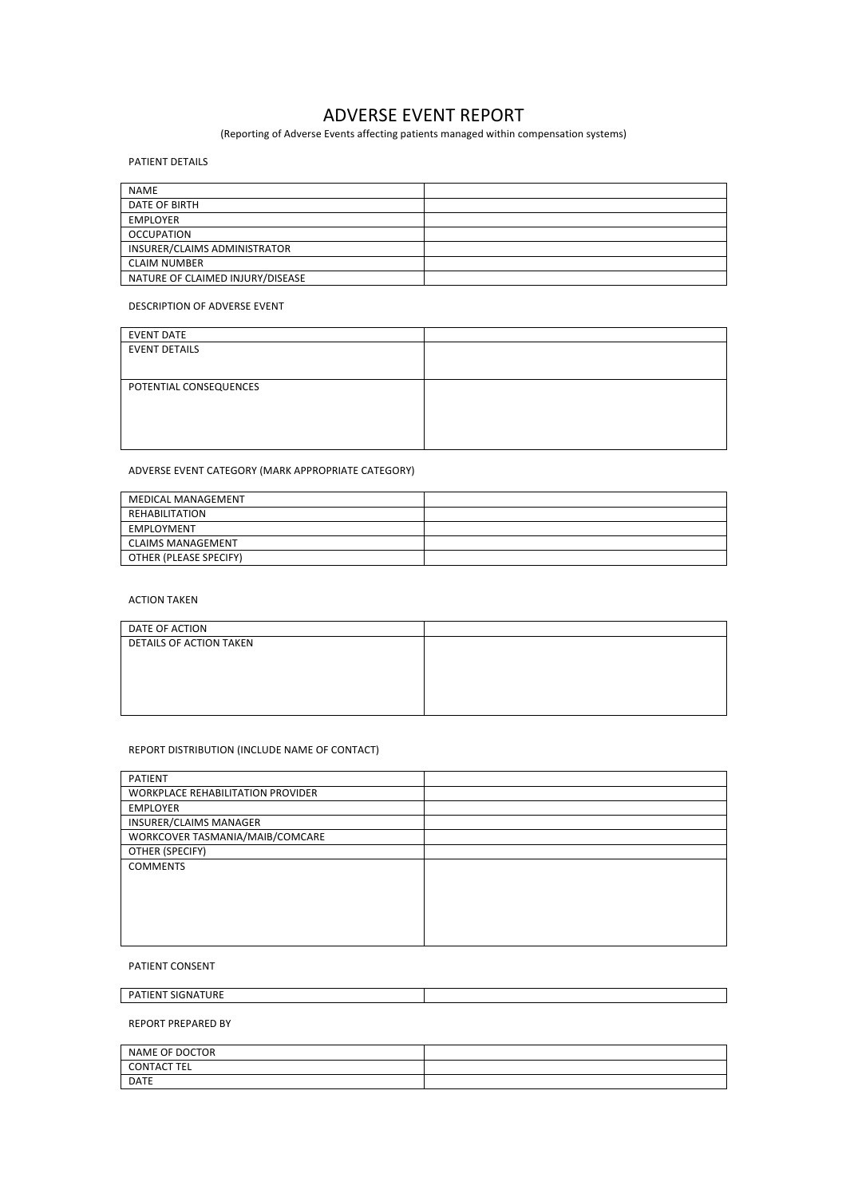# **ADVERSE EVENT REPORT**

(Reporting of Adverse Events affecting patients managed within compensation systems)

#### PATIENT DETAILS

| <b>NAME</b>                      |  |
|----------------------------------|--|
| DATE OF BIRTH                    |  |
| <b>EMPLOYER</b>                  |  |
| <b>OCCUPATION</b>                |  |
| INSURER/CLAIMS ADMINISTRATOR     |  |
| <b>CLAIM NUMBER</b>              |  |
| NATURE OF CLAIMED INJURY/DISEASE |  |

#### DESCRIPTION OF ADVERSE EVENT

| <b>EVENT DATE</b>      |  |
|------------------------|--|
| <b>EVENT DETAILS</b>   |  |
|                        |  |
| POTENTIAL CONSEQUENCES |  |
|                        |  |
|                        |  |
|                        |  |
|                        |  |

ADVERSE EVENT CATEGORY (MARK APPROPRIATE CATEGORY)

| <b>MEDICAL MANAGEMENT</b> |  |
|---------------------------|--|
| REHABILITATION            |  |
| EMPLOYMENT                |  |
| <b>CLAIMS MANAGEMENT</b>  |  |
| OTHER (PLEASE SPECIFY)    |  |

#### **ACTION TAKEN**

| DATE OF ACTION                 |  |
|--------------------------------|--|
| <b>DETAILS OF ACTION TAKEN</b> |  |
|                                |  |
|                                |  |
|                                |  |
|                                |  |

#### REPORT DISTRIBUTION (INCLUDE NAME OF CONTACT)

| PATIENT                                  |  |
|------------------------------------------|--|
| <b>WORKPLACE REHABILITATION PROVIDER</b> |  |
| <b>EMPLOYER</b>                          |  |
| INSURER/CLAIMS MANAGER                   |  |
| WORKCOVER TASMANIA/MAIB/COMCARE          |  |
| OTHER (SPECIFY)                          |  |
| <b>COMMENTS</b>                          |  |
|                                          |  |
|                                          |  |
|                                          |  |
|                                          |  |
|                                          |  |

#### PATIENT CONSENT

PATIENT SIGNATURE

REPORT PREPARED BY

| NAME OF DOCTOR     |  |
|--------------------|--|
| <b>CONTACT TEL</b> |  |
| <b>DATE</b>        |  |